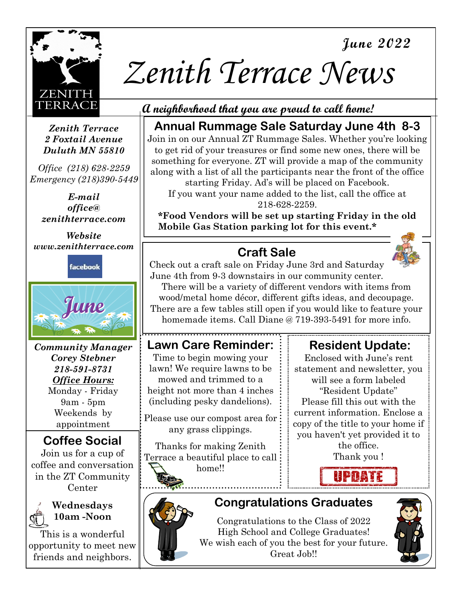



# *Zenith Terrace News*

*Zenith Terrace 2 Foxtail Avenue Duluth MN 55810* 

*Office (218) 628-2259 Emergency (218)390-5449*

> *E-mail office@ zenithterrace.com*

*Website www.zenithterrace.com*

facebook



*Community Manager Corey Stebner 218-591-8731 Office Hours:*  Monday - Friday 9am - 5pm Weekends by appointment

## **Coffee Social**

Join us for a cup of coffee and conversation in the ZT Community Center



#### **Wednesdays 10am -Noon**

This is a wonderful opportunity to meet new friends and neighbors.

## **A neighborhood that you are proud to call home!**

## **Annual Rummage Sale Saturday June 4th 8-3**

Join in on our Annual ZT Rummage Sales. Whether you're looking to get rid of your treasures or find some new ones, there will be something for everyone. ZT will provide a map of the community along with a list of all the participants near the front of the office

starting Friday. Ad's will be placed on Facebook. If you want your name added to the list, call the office at 218-628-2259.

**\*Food Vendors will be set up starting Friday in the old Mobile Gas Station parking lot for this event.\*** 

## **Craft Sale**



Check out a craft sale on Friday June 3rd and Saturday June 4th from 9-3 downstairs in our community center.

There will be a variety of different vendors with items from wood/metal home décor, different gifts ideas, and decoupage. There are a few tables still open if you would like to feature your homemade items. Call Diane @ 719-393-5491 for more info.

## **Lawn Care Reminder:**

Time to begin mowing your lawn! We require lawns to be mowed and trimmed to a height not more than 4 inches (including pesky dandelions).

Please use our compost area for any grass clippings.

Thanks for making Zenith Terrace a beautiful place to call home!!

## **Resident Update:**

Enclosed with June's rent statement and newsletter, you will see a form labeled "Resident Update" Please fill this out with the current information. Enclose a copy of the title to your home if you haven't yet provided it to the office. Thank you !



## **Congratulations Graduates**

Congratulations to the Class of 2022 High School and College Graduates! We wish each of you the best for your future. Great Job!!